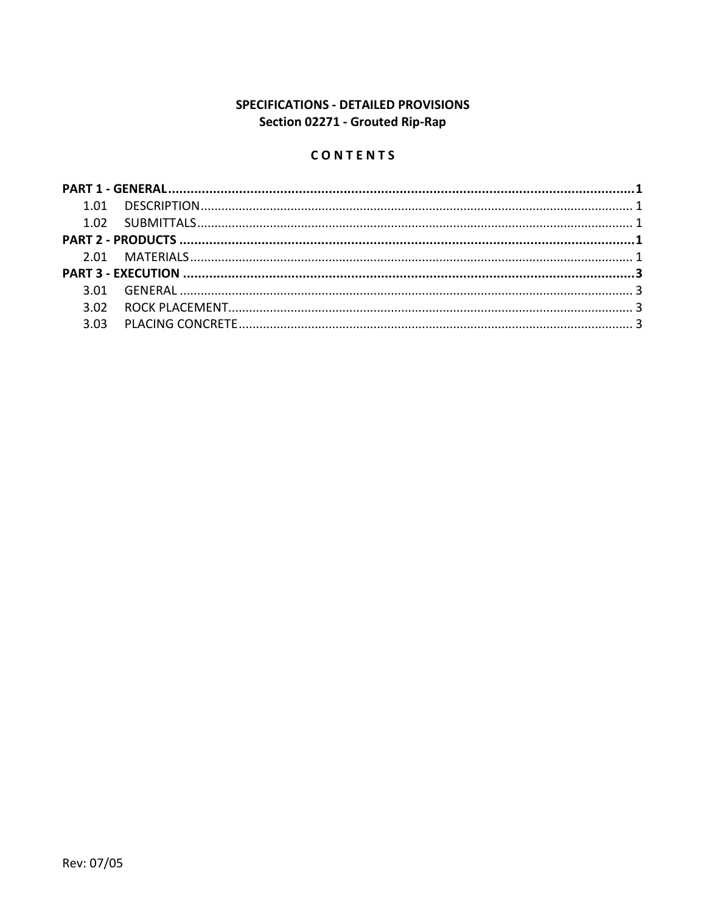# SPECIFICATIONS - DETAILED PROVISIONS Section 02271 - Grouted Rip-Rap

## CONTENTS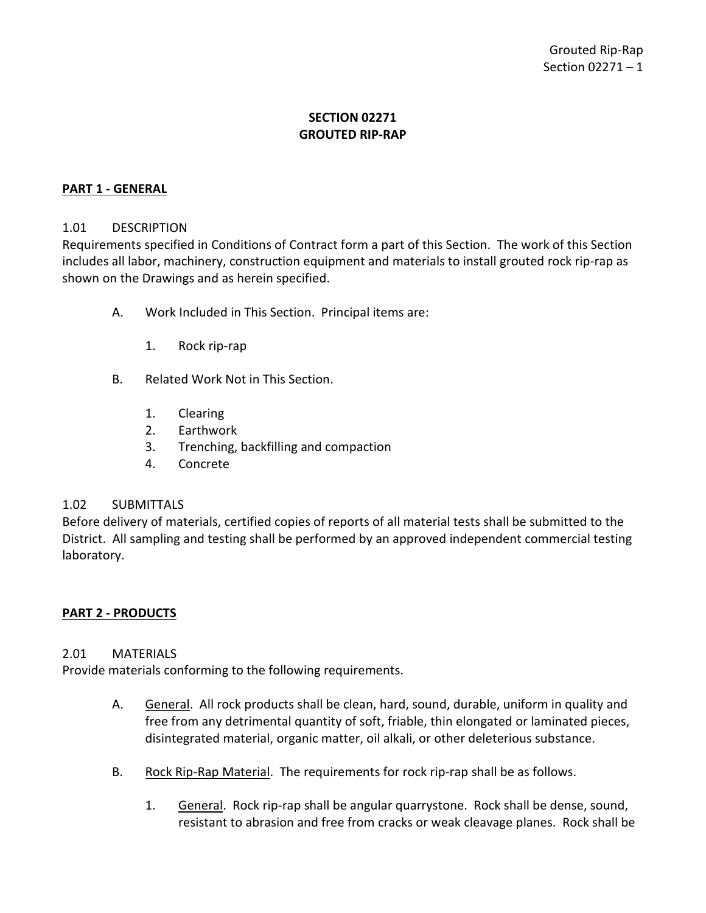## **SECTION 02271 GROUTED RIP-RAP**

### <span id="page-2-0"></span>**PART 1 - GENERAL**

#### <span id="page-2-1"></span>1.01 DESCRIPTION

Requirements specified in Conditions of Contract form a part of this Section. The work of this Section includes all labor, machinery, construction equipment and materials to install grouted rock rip-rap as shown on the Drawings and as herein specified.

- A. Work Included in This Section. Principal items are:
	- 1. Rock rip-rap
- B. Related Work Not in This Section.
	- 1. Clearing
	- 2. Earthwork
	- 3. Trenching, backfilling and compaction
	- 4. Concrete

#### <span id="page-2-2"></span>1.02 SUBMITTALS

Before delivery of materials, certified copies of reports of all material tests shall be submitted to the District. All sampling and testing shall be performed by an approved independent commercial testing laboratory.

### <span id="page-2-3"></span>**PART 2 - PRODUCTS**

#### <span id="page-2-4"></span>2.01 MATERIALS

Provide materials conforming to the following requirements.

- A. General. All rock products shall be clean, hard, sound, durable, uniform in quality and free from any detrimental quantity of soft, friable, thin elongated or laminated pieces, disintegrated material, organic matter, oil alkali, or other deleterious substance.
- B. Rock Rip-Rap Material. The requirements for rock rip-rap shall be as follows.
	- 1. General. Rock rip-rap shall be angular quarrystone. Rock shall be dense, sound, resistant to abrasion and free from cracks or weak cleavage planes. Rock shall be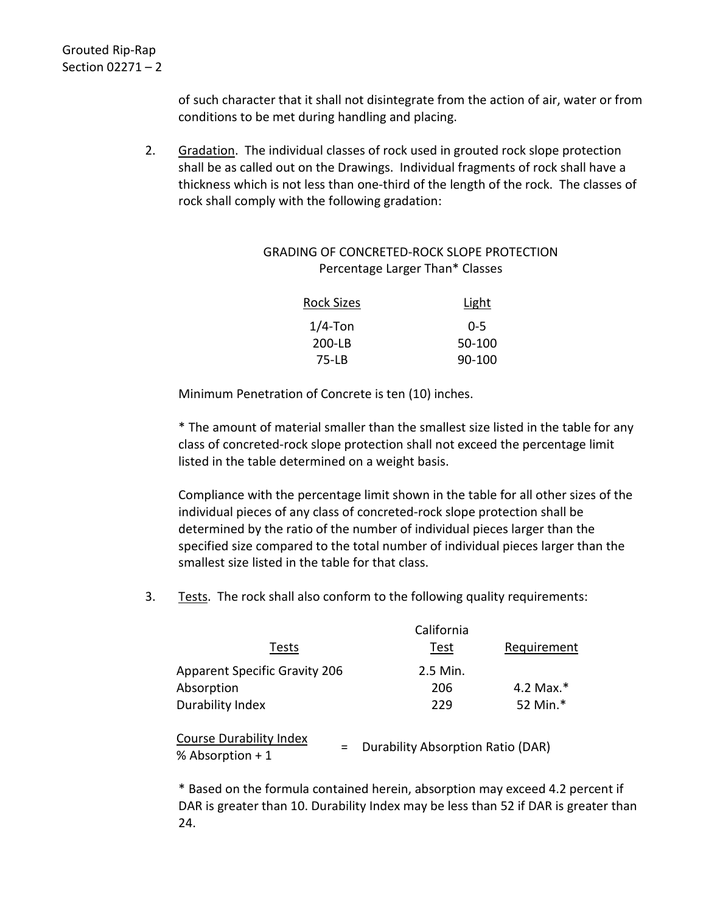of such character that it shall not disintegrate from the action of air, water or from conditions to be met during handling and placing.

2. Gradation. The individual classes of rock used in grouted rock slope protection shall be as called out on the Drawings. Individual fragments of rock shall have a thickness which is not less than one-third of the length of the rock. The classes of rock shall comply with the following gradation:

## GRADING OF CONCRETED-ROCK SLOPE PROTECTION Percentage Larger Than\* Classes

| <b>Rock Sizes</b> | Light    |
|-------------------|----------|
| $1/4$ -Ton        | 0-5      |
| 200-LB            | 50-100   |
| $75 - LB$         | $90-100$ |

Minimum Penetration of Concrete is ten (10) inches.

\* The amount of material smaller than the smallest size listed in the table for any class of concreted-rock slope protection shall not exceed the percentage limit listed in the table determined on a weight basis.

Compliance with the percentage limit shown in the table for all other sizes of the individual pieces of any class of concreted-rock slope protection shall be determined by the ratio of the number of individual pieces larger than the specified size compared to the total number of individual pieces larger than the smallest size listed in the table for that class.

3. Tests. The rock shall also conform to the following quality requirements:

| Tests                                                           | California<br>Test                | Requirement  |
|-----------------------------------------------------------------|-----------------------------------|--------------|
| <b>Apparent Specific Gravity 206</b><br>Absorption              | 2.5 Min.<br>206                   | 4.2 Max. $*$ |
| Durability Index                                                | 229                               | 52 Min.*     |
| <b>Course Durability Index</b><br>$\equiv$<br>% Absorption $+1$ | Durability Absorption Ratio (DAR) |              |

\* Based on the formula contained herein, absorption may exceed 4.2 percent if DAR is greater than 10. Durability Index may be less than 52 if DAR is greater than 24.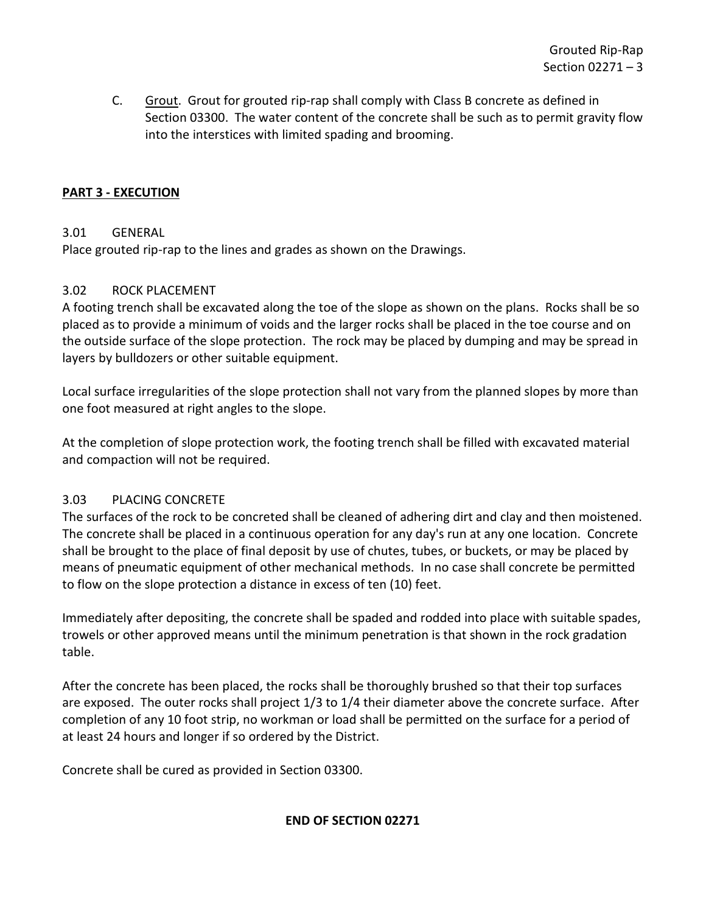C. Grout. Grout for grouted rip-rap shall comply with Class B concrete as defined in Section 03300. The water content of the concrete shall be such as to permit gravity flow into the interstices with limited spading and brooming.

## <span id="page-4-0"></span>**PART 3 - EXECUTION**

## <span id="page-4-1"></span>3.01 GENERAL

Place grouted rip-rap to the lines and grades as shown on the Drawings.

## <span id="page-4-2"></span>3.02 ROCK PLACEMENT

A footing trench shall be excavated along the toe of the slope as shown on the plans. Rocks shall be so placed as to provide a minimum of voids and the larger rocks shall be placed in the toe course and on the outside surface of the slope protection. The rock may be placed by dumping and may be spread in layers by bulldozers or other suitable equipment.

Local surface irregularities of the slope protection shall not vary from the planned slopes by more than one foot measured at right angles to the slope.

At the completion of slope protection work, the footing trench shall be filled with excavated material and compaction will not be required.

## <span id="page-4-3"></span>3.03 PLACING CONCRETE

The surfaces of the rock to be concreted shall be cleaned of adhering dirt and clay and then moistened. The concrete shall be placed in a continuous operation for any day's run at any one location. Concrete shall be brought to the place of final deposit by use of chutes, tubes, or buckets, or may be placed by means of pneumatic equipment of other mechanical methods. In no case shall concrete be permitted to flow on the slope protection a distance in excess of ten (10) feet.

Immediately after depositing, the concrete shall be spaded and rodded into place with suitable spades, trowels or other approved means until the minimum penetration is that shown in the rock gradation table.

After the concrete has been placed, the rocks shall be thoroughly brushed so that their top surfaces are exposed. The outer rocks shall project 1/3 to 1/4 their diameter above the concrete surface. After completion of any 10 foot strip, no workman or load shall be permitted on the surface for a period of at least 24 hours and longer if so ordered by the District.

Concrete shall be cured as provided in Section 03300.